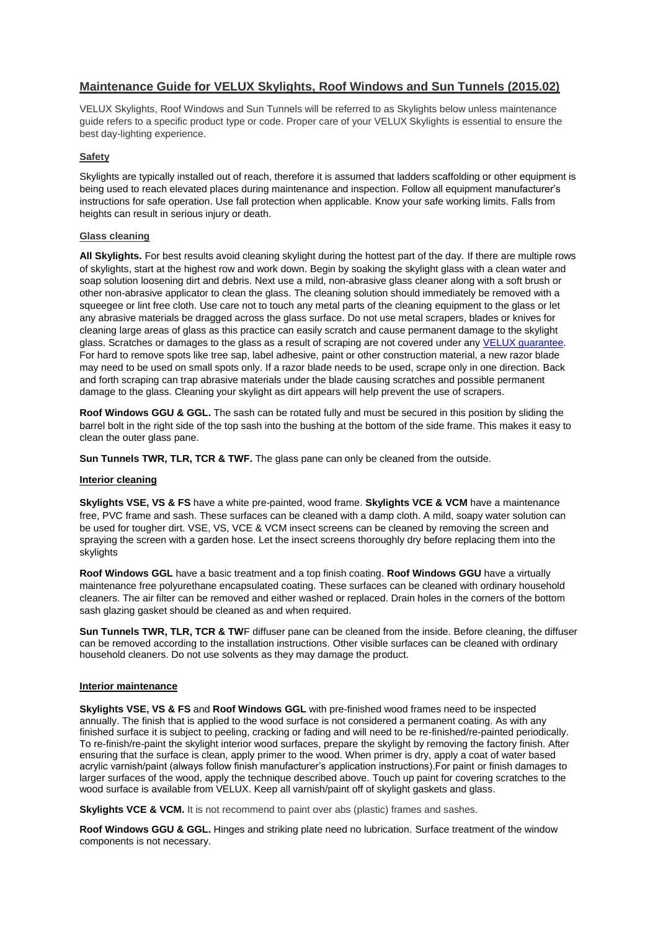# **Maintenance Guide for VELUX Skylights, Roof Windows and Sun Tunnels (2015.02)**

VELUX Skylights, Roof Windows and Sun Tunnels will be referred to as Skylights below unless maintenance guide refers to a specific product type or code. Proper care of your VELUX Skylights is essential to ensure the best day-lighting experience.

## **Safety**

Skylights are typically installed out of reach, therefore it is assumed that ladders scaffolding or other equipment is being used to reach elevated places during maintenance and inspection. Follow all equipment manufacturer's instructions for safe operation. Use fall protection when applicable. Know your safe working limits. Falls from heights can result in serious injury or death.

## **Glass cleaning**

**All Skylights.** For best results avoid cleaning skylight during the hottest part of the day. If there are multiple rows of skylights, start at the highest row and work down. Begin by soaking the skylight glass with a clean water and soap solution loosening dirt and debris. Next use a mild, non-abrasive glass cleaner along with a soft brush or other non-abrasive applicator to clean the glass. The cleaning solution should immediately be removed with a squeegee or lint free cloth. Use care not to touch any metal parts of the cleaning equipment to the glass or let any abrasive materials be dragged across the glass surface. Do not use metal scrapers, blades or knives for cleaning large areas of glass as this practice can easily scratch and cause permanent damage to the skylight glass. Scratches or damages to the glass as a result of scraping are not covered under any [VELUX guarantee.](http://www.velux.co.nz/SiteCollectionDocuments/guarantee/V-NZ%20VELUX%20Guarantee.pdf) For hard to remove spots like tree sap, label adhesive, paint or other construction material, a new razor blade may need to be used on small spots only. If a razor blade needs to be used, scrape only in one direction. Back and forth scraping can trap abrasive materials under the blade causing scratches and possible permanent damage to the glass. Cleaning your skylight as dirt appears will help prevent the use of scrapers.

**Roof Windows GGU & GGL.** The sash can be rotated fully and must be secured in this position by sliding the barrel bolt in the right side of the top sash into the bushing at the bottom of the side frame. This makes it easy to clean the outer glass pane.

**Sun Tunnels TWR, TLR, TCR & TWF.** The glass pane can only be cleaned from the outside.

#### **Interior cleaning**

**Skylights VSE, VS & FS** have a white pre-painted, wood frame. **Skylights VCE & VCM** have a maintenance free, PVC frame and sash. These surfaces can be cleaned with a damp cloth. A mild, soapy water solution can be used for tougher dirt. VSE, VS, VCE & VCM insect screens can be cleaned by removing the screen and spraying the screen with a garden hose. Let the insect screens thoroughly dry before replacing them into the skylights

**Roof Windows GGL** have a basic treatment and a top finish coating. **Roof Windows GGU** have a virtually maintenance free polyurethane encapsulated coating. These surfaces can be cleaned with ordinary household cleaners. The air filter can be removed and either washed or replaced. Drain holes in the corners of the bottom sash glazing gasket should be cleaned as and when required.

**Sun Tunnels TWR, TLR, TCR & TWF** diffuser pane can be cleaned from the inside. Before cleaning, the diffuser can be removed according to the installation instructions. Other visible surfaces can be cleaned with ordinary household cleaners. Do not use solvents as they may damage the product.

## **Interior maintenance**

**Skylights VSE, VS & FS** and **Roof Windows GGL** with pre-finished wood frames need to be inspected annually. The finish that is applied to the wood surface is not considered a permanent coating. As with any finished surface it is subject to peeling, cracking or fading and will need to be re-finished/re-painted periodically. To re-finish/re-paint the skylight interior wood surfaces, prepare the skylight by removing the factory finish. After ensuring that the surface is clean, apply primer to the wood. When primer is dry, apply a coat of water based acrylic varnish/paint (always follow finish manufacturer's application instructions).For paint or finish damages to larger surfaces of the wood, apply the technique described above. Touch up paint for covering scratches to the wood surface is available from VELUX. Keep all varnish/paint off of skylight gaskets and glass.

**Skylights VCE & VCM.** It is not recommend to paint over abs (plastic) frames and sashes.

**Roof Windows GGU & GGL.** Hinges and striking plate need no lubrication. Surface treatment of the window components is not necessary.